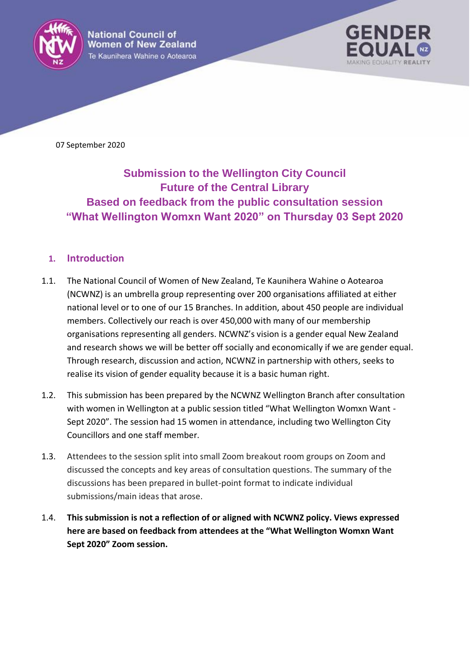

**National Council of Women of New Zealand** Te Kaunihera Wahine o Aotearoa



07 September 2020

# **Submission to the Wellington City Council Future of the Central Library Based on feedback from the public consultation session "What Wellington Womxn Want 2020" on Thursday 03 Sept 2020**

#### **1. Introduction**

- 1.1. The National Council of Women of New Zealand, Te Kaunihera Wahine o Aotearoa (NCWNZ) is an umbrella group representing over 200 organisations affiliated at either national level or to one of our 15 Branches. In addition, about 450 people are individual members. Collectively our reach is over 450,000 with many of our membership organisations representing all genders. NCWNZ's vision is a gender equal New Zealand and research shows we will be better off socially and economically if we are gender equal. Through research, discussion and action, NCWNZ in partnership with others, seeks to realise its vision of gender equality because it is a basic human right.
- 1.2. This submission has been prepared by the NCWNZ Wellington Branch after consultation with women in Wellington at a public session titled "What Wellington Womxn Want -Sept 2020". The session had 15 women in attendance, including two Wellington City Councillors and one staff member.
- 1.3. Attendees to the session split into small Zoom breakout room groups on Zoom and discussed the concepts and key areas of consultation questions. The summary of the discussions has been prepared in bullet-point format to indicate individual submissions/main ideas that arose.
- 1.4. **This submission is not a reflection of or aligned with NCWNZ policy. Views expressed here are based on feedback from attendees at the "What Wellington Womxn Want Sept 2020" Zoom session.**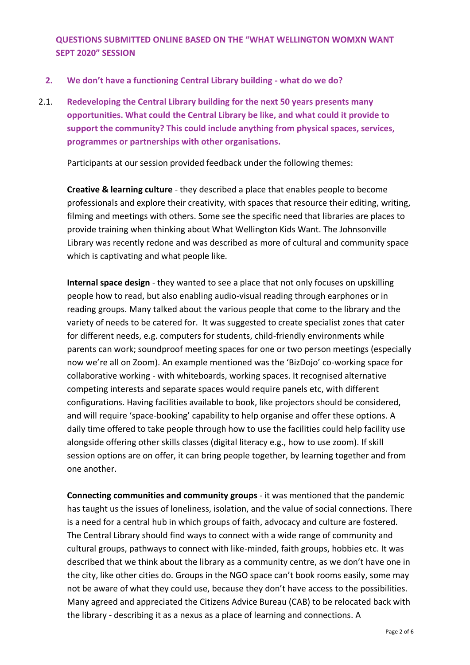**QUESTIONS SUBMITTED ONLINE BASED ON THE "WHAT WELLINGTON WOMXN WANT SEPT 2020" SESSION**

- **2. We don't have a functioning Central Library building - what do we do?**
- 2.1. **Redeveloping the Central Library building for the next 50 years presents many opportunities. What could the Central Library be like, and what could it provide to support the community? This could include anything from physical spaces, services, programmes or partnerships with other organisations.**

Participants at our session provided feedback under the following themes:

**Creative & learning culture** - they described a place that enables people to become professionals and explore their creativity, with spaces that resource their editing, writing, filming and meetings with others. Some see the specific need that libraries are places to provide training when thinking about What Wellington Kids Want. The Johnsonville Library was recently redone and was described as more of cultural and community space which is captivating and what people like.

**Internal space design** - they wanted to see a place that not only focuses on upskilling people how to read, but also enabling audio-visual reading through earphones or in reading groups. Many talked about the various people that come to the library and the variety of needs to be catered for. It was suggested to create specialist zones that cater for different needs, e.g. computers for students, child-friendly environments while parents can work; soundproof meeting spaces for one or two person meetings (especially now we're all on Zoom). An example mentioned was the 'BizDojo' co-working space for collaborative working - with whiteboards, working spaces. It recognised alternative competing interests and separate spaces would require panels etc, with different configurations. Having facilities available to book, like projectors should be considered, and will require 'space-booking' capability to help organise and offer these options. A daily time offered to take people through how to use the facilities could help facility use alongside offering other skills classes (digital literacy e.g., how to use zoom). If skill session options are on offer, it can bring people together, by learning together and from one another.

**Connecting communities and community groups** - it was mentioned that the pandemic has taught us the issues of loneliness, isolation, and the value of social connections. There is a need for a central hub in which groups of faith, advocacy and culture are fostered. The Central Library should find ways to connect with a wide range of community and cultural groups, pathways to connect with like-minded, faith groups, hobbies etc. It was described that we think about the library as a community centre, as we don't have one in the city, like other cities do. Groups in the NGO space can't book rooms easily, some may not be aware of what they could use, because they don't have access to the possibilities. Many agreed and appreciated the Citizens Advice Bureau (CAB) to be relocated back with the library - describing it as a nexus as a place of learning and connections. A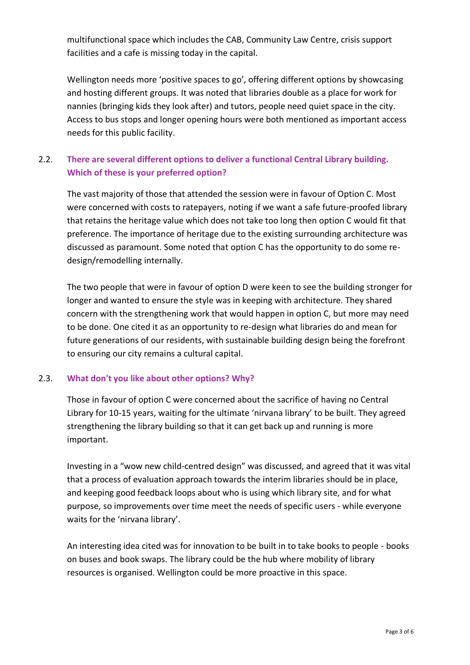multifunctional space which includes the CAB, Community Law Centre, crisis support facilities and a cafe is missing today in the capital.

Wellington needs more 'positive spaces to go', offering different options by showcasing and hosting different groups. It was noted that libraries double as a place for work for nannies (bringing kids they look after) and tutors, people need quiet space in the city. Access to bus stops and longer opening hours were both mentioned as important access needs for this public facility.

## 2.2. **There are several different options to deliver a functional Central Library building. Which of these is your preferred option?**

The vast majority of those that attended the session were in favour of Option C. Most were concerned with costs to ratepayers, noting if we want a safe future-proofed library that retains the heritage value which does not take too long then option C would fit that preference. The importance of heritage due to the existing surrounding architecture was discussed as paramount. Some noted that option C has the opportunity to do some redesign/remodelling internally.

The two people that were in favour of option D were keen to see the building stronger for longer and wanted to ensure the style was in keeping with architecture. They shared concern with the strengthening work that would happen in option C, but more may need to be done. One cited it as an opportunity to re-design what libraries do and mean for future generations of our residents, with sustainable building design being the forefront to ensuring our city remains a cultural capital.

#### 2.3. **What don't you like about other options? Why?**

Those in favour of option C were concerned about the sacrifice of having no Central Library for 10-15 years, waiting for the ultimate 'nirvana library' to be built. They agreed strengthening the library building so that it can get back up and running is more important.

Investing in a "wow new child-centred design" was discussed, and agreed that it was vital that a process of evaluation approach towards the interim libraries should be in place, and keeping good feedback loops about who is using which library site, and for what purpose, so improvements over time meet the needs of specific users - while everyone waits for the 'nirvana library'.

An interesting idea cited was for innovation to be built in to take books to people - books on buses and book swaps. The library could be the hub where mobility of library resources is organised. Wellington could be more proactive in this space.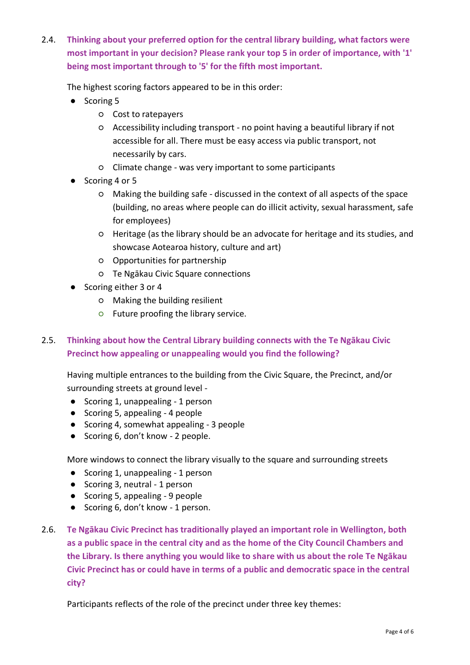2.4. **Thinking about your preferred option for the central library building, what factors were most important in your decision? Please rank your top 5 in order of importance, with '1' being most important through to '5' for the fifth most important.**

The highest scoring factors appeared to be in this order:

- Scoring 5
	- Cost to ratepayers
	- Accessibility including transport no point having a beautiful library if not accessible for all. There must be easy access via public transport, not necessarily by cars.
	- Climate change was very important to some participants
- Scoring 4 or 5
	- Making the building safe discussed in the context of all aspects of the space (building, no areas where people can do illicit activity, sexual harassment, safe for employees)
	- Heritage (as the library should be an advocate for heritage and its studies, and showcase Aotearoa history, culture and art)
	- Opportunities for partnership
	- Te Ngākau Civic Square connections
- Scoring either 3 or 4
	- Making the building resilient
	- Future proofing the library service.

## 2.5. **Thinking about how the Central Library building connects with the Te Ngākau Civic Precinct how appealing or unappealing would you find the following?**

Having multiple entrances to the building from the Civic Square, the Precinct, and/or surrounding streets at ground level -

- Scoring 1, unappealing 1 person
- Scoring 5, appealing 4 people
- Scoring 4, somewhat appealing 3 people
- Scoring 6, don't know 2 people.

More windows to connect the library visually to the square and surrounding streets

- Scoring 1, unappealing 1 person
- Scoring 3, neutral 1 person
- Scoring 5, appealing 9 people
- Scoring 6, don't know 1 person.
- 2.6. **Te Ngākau Civic Precinct has traditionally played an important role in Wellington, both as a public space in the central city and as the home of the City Council Chambers and the Library. Is there anything you would like to share with us about the role Te Ngākau Civic Precinct has or could have in terms of a public and democratic space in the central city?**

Participants reflects of the role of the precinct under three key themes: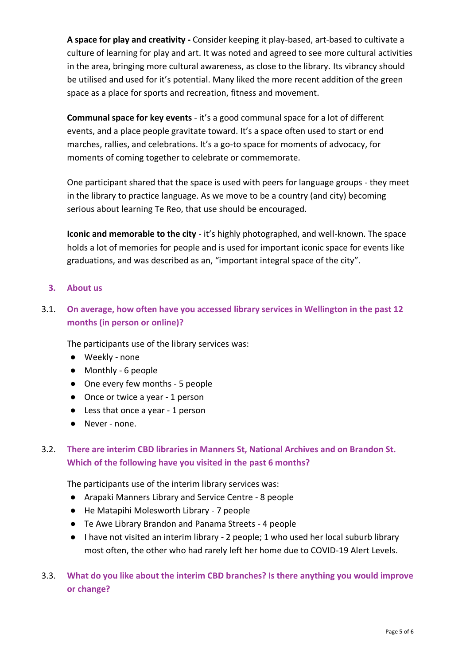**A space for play and creativity -** Consider keeping it play-based, art-based to cultivate a culture of learning for play and art. It was noted and agreed to see more cultural activities in the area, bringing more cultural awareness, as close to the library. Its vibrancy should be utilised and used for it's potential. Many liked the more recent addition of the green space as a place for sports and recreation, fitness and movement.

**Communal space for key events** - it's a good communal space for a lot of different events, and a place people gravitate toward. It's a space often used to start or end marches, rallies, and celebrations. It's a go-to space for moments of advocacy, for moments of coming together to celebrate or commemorate.

One participant shared that the space is used with peers for language groups - they meet in the library to practice language. As we move to be a country (and city) becoming serious about learning Te Reo, that use should be encouraged.

**Iconic and memorable to the city** - it's highly photographed, and well-known. The space holds a lot of memories for people and is used for important iconic space for events like graduations, and was described as an, "important integral space of the city".

#### **3. About us**

## 3.1. **On average, how often have you accessed library services in Wellington in the past 12 months (in person or online)?**

The participants use of the library services was:

- Weekly none
- Monthly 6 people
- One every few months 5 people
- Once or twice a year 1 person
- Less that once a year 1 person
- Never none.

## 3.2. **There are interim CBD libraries in Manners St, National Archives and on Brandon St. Which of the following have you visited in the past 6 months?**

The participants use of the interim library services was:

- Arapaki Manners Library and Service Centre 8 people
- He Matapihi Molesworth Library 7 people
- Te Awe Library Brandon and Panama Streets 4 people
- I have not visited an interim library 2 people; 1 who used her local suburb library most often, the other who had rarely left her home due to COVID-19 Alert Levels.

### 3.3. **What do you like about the interim CBD branches? Is there anything you would improve or change?**